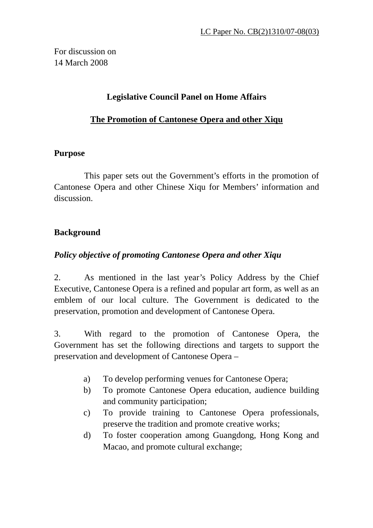For discussion on 14 March 2008

### **Legislative Council Panel on Home Affairs**

### **The Promotion of Cantonese Opera and other Xiqu**

### **Purpose**

 This paper sets out the Government's efforts in the promotion of Cantonese Opera and other Chinese Xiqu for Members' information and discussion.

# **Background**

### *Policy objective of promoting Cantonese Opera and other Xiqu*

2. As mentioned in the last year's Policy Address by the Chief Executive, Cantonese Opera is a refined and popular art form, as well as an emblem of our local culture. The Government is dedicated to the preservation, promotion and development of Cantonese Opera.

3. With regard to the promotion of Cantonese Opera, the Government has set the following directions and targets to support the preservation and development of Cantonese Opera –

- a) To develop performing venues for Cantonese Opera;
- b) To promote Cantonese Opera education, audience building and community participation;
- c) To provide training to Cantonese Opera professionals, preserve the tradition and promote creative works;
- d) To foster cooperation among Guangdong, Hong Kong and Macao, and promote cultural exchange;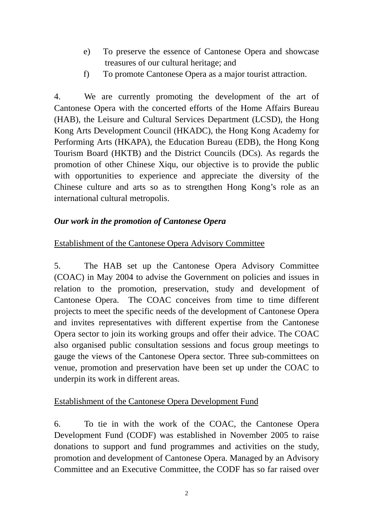- e) To preserve the essence of Cantonese Opera and showcase treasures of our cultural heritage; and
- f) To promote Cantonese Opera as a major tourist attraction.

4. We are currently promoting the development of the art of Cantonese Opera with the concerted efforts of the Home Affairs Bureau (HAB), the Leisure and Cultural Services Department (LCSD), the Hong Kong Arts Development Council (HKADC), the Hong Kong Academy for Performing Arts (HKAPA), the Education Bureau (EDB), the Hong Kong Tourism Board (HKTB) and the District Councils (DCs). As regards the promotion of other Chinese Xiqu, our objective is to provide the public with opportunities to experience and appreciate the diversity of the Chinese culture and arts so as to strengthen Hong Kong's role as an international cultural metropolis.

### *Our work in the promotion of Cantonese Opera*

#### Establishment of the Cantonese Opera Advisory Committee

5. The HAB set up the Cantonese Opera Advisory Committee (COAC) in May 2004 to advise the Government on policies and issues in relation to the promotion, preservation, study and development of Cantonese Opera. The COAC conceives from time to time different projects to meet the specific needs of the development of Cantonese Opera and invites representatives with different expertise from the Cantonese Opera sector to join its working groups and offer their advice. The COAC also organised public consultation sessions and focus group meetings to gauge the views of the Cantonese Opera sector. Three sub-committees on venue, promotion and preservation have been set up under the COAC to underpin its work in different areas.

#### Establishment of the Cantonese Opera Development Fund

6. To tie in with the work of the COAC, the Cantonese Opera Development Fund (CODF) was established in November 2005 to raise donations to support and fund programmes and activities on the study, promotion and development of Cantonese Opera. Managed by an Advisory Committee and an Executive Committee, the CODF has so far raised over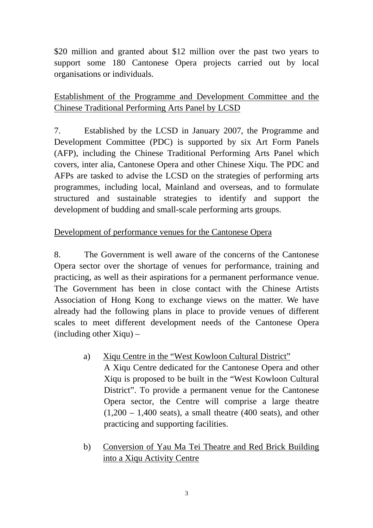\$20 million and granted about \$12 million over the past two years to support some 180 Cantonese Opera projects carried out by local organisations or individuals.

# Establishment of the Programme and Development Committee and the Chinese Traditional Performing Arts Panel by LCSD

7. Established by the LCSD in January 2007, the Programme and Development Committee (PDC) is supported by six Art Form Panels (AFP), including the Chinese Traditional Performing Arts Panel which covers, inter alia, Cantonese Opera and other Chinese Xiqu. The PDC and AFPs are tasked to advise the LCSD on the strategies of performing arts programmes, including local, Mainland and overseas, and to formulate structured and sustainable strategies to identify and support the development of budding and small-scale performing arts groups.

### Development of performance venues for the Cantonese Opera

8. The Government is well aware of the concerns of the Cantonese Opera sector over the shortage of venues for performance, training and practicing, as well as their aspirations for a permanent performance venue. The Government has been in close contact with the Chinese Artists Association of Hong Kong to exchange views on the matter. We have already had the following plans in place to provide venues of different scales to meet different development needs of the Cantonese Opera (including other Xiqu) –

- a) Xiqu Centre in the "West Kowloon Cultural District" A Xiqu Centre dedicated for the Cantonese Opera and other Xiqu is proposed to be built in the "West Kowloon Cultural District". To provide a permanent venue for the Cantonese Opera sector, the Centre will comprise a large theatre  $(1,200 - 1,400 \text{ seats})$ , a small theatre  $(400 \text{ seats})$ , and other practicing and supporting facilities.
- b) Conversion of Yau Ma Tei Theatre and Red Brick Building into a Xiqu Activity Centre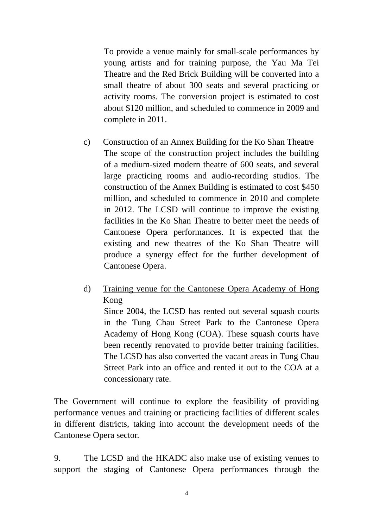To provide a venue mainly for small-scale performances by young artists and for training purpose, the Yau Ma Tei Theatre and the Red Brick Building will be converted into a small theatre of about 300 seats and several practicing or activity rooms. The conversion project is estimated to cost about \$120 million, and scheduled to commence in 2009 and complete in 2011.

- c) Construction of an Annex Building for the Ko Shan Theatre The scope of the construction project includes the building of a medium-sized modern theatre of 600 seats, and several large practicing rooms and audio-recording studios. The construction of the Annex Building is estimated to cost \$450 million, and scheduled to commence in 2010 and complete in 2012. The LCSD will continue to improve the existing facilities in the Ko Shan Theatre to better meet the needs of Cantonese Opera performances. It is expected that the existing and new theatres of the Ko Shan Theatre will produce a synergy effect for the further development of Cantonese Opera.
- d) Training venue for the Cantonese Opera Academy of Hong Kong

Since 2004, the LCSD has rented out several squash courts in the Tung Chau Street Park to the Cantonese Opera Academy of Hong Kong (COA). These squash courts have been recently renovated to provide better training facilities. The LCSD has also converted the vacant areas in Tung Chau Street Park into an office and rented it out to the COA at a concessionary rate.

The Government will continue to explore the feasibility of providing performance venues and training or practicing facilities of different scales in different districts, taking into account the development needs of the Cantonese Opera sector.

9. The LCSD and the HKADC also make use of existing venues to support the staging of Cantonese Opera performances through the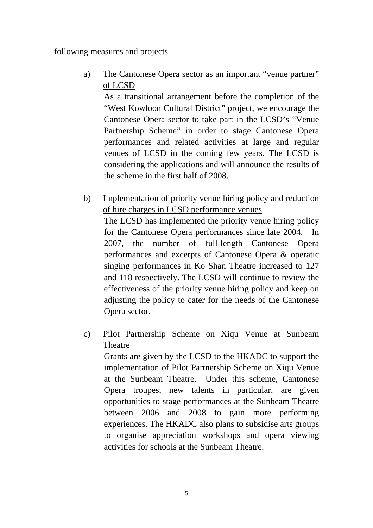following measures and projects –

a) The Cantonese Opera sector as an important "venue partner" of LCSD

As a transitional arrangement before the completion of the "West Kowloon Cultural District" project, we encourage the Cantonese Opera sector to take part in the LCSD's "Venue Partnership Scheme" in order to stage Cantonese Opera performances and related activities at large and regular venues of LCSD in the coming few years. The LCSD is considering the applications and will announce the results of the scheme in the first half of 2008.

b) Implementation of priority venue hiring policy and reduction of hire charges in LCSD performance venues

The LCSD has implemented the priority venue hiring policy for the Cantonese Opera performances since late 2004. In 2007, the number of full-length Cantonese Opera performances and excerpts of Cantonese Opera & operatic singing performances in Ko Shan Theatre increased to 127 and 118 respectively. The LCSD will continue to review the effectiveness of the priority venue hiring policy and keep on adjusting the policy to cater for the needs of the Cantonese Opera sector.

c) Pilot Partnership Scheme on Xiqu Venue at Sunbeam Theatre

Grants are given by the LCSD to the HKADC to support the implementation of Pilot Partnership Scheme on Xiqu Venue at the Sunbeam Theatre. Under this scheme, Cantonese Opera troupes, new talents in particular, are given opportunities to stage performances at the Sunbeam Theatre between 2006 and 2008 to gain more performing experiences. The HKADC also plans to subsidise arts groups to organise appreciation workshops and opera viewing activities for schools at the Sunbeam Theatre.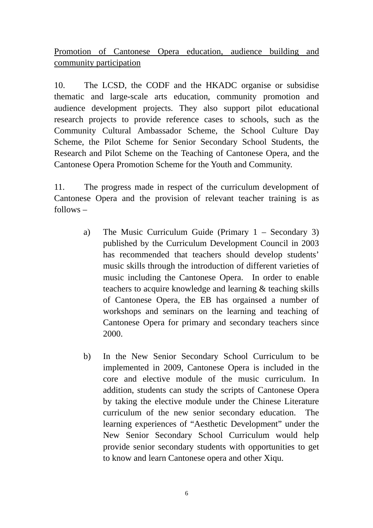Promotion of Cantonese Opera education, audience building and community participation

10. The LCSD, the CODF and the HKADC organise or subsidise thematic and large-scale arts education, community promotion and audience development projects. They also support pilot educational research projects to provide reference cases to schools, such as the Community Cultural Ambassador Scheme, the School Culture Day Scheme, the Pilot Scheme for Senior Secondary School Students, the Research and Pilot Scheme on the Teaching of Cantonese Opera, and the Cantonese Opera Promotion Scheme for the Youth and Community.

11. The progress made in respect of the curriculum development of Cantonese Opera and the provision of relevant teacher training is as follows –

- a) The Music Curriculum Guide (Primary 1 Secondary 3) published by the Curriculum Development Council in 2003 has recommended that teachers should develop students' music skills through the introduction of different varieties of music including the Cantonese Opera. In order to enable teachers to acquire knowledge and learning & teaching skills of Cantonese Opera, the EB has orgainsed a number of workshops and seminars on the learning and teaching of Cantonese Opera for primary and secondary teachers since 2000.
- b) In the New Senior Secondary School Curriculum to be implemented in 2009, Cantonese Opera is included in the core and elective module of the music curriculum. In addition, students can study the scripts of Cantonese Opera by taking the elective module under the Chinese Literature curriculum of the new senior secondary education. The learning experiences of "Aesthetic Development" under the New Senior Secondary School Curriculum would help provide senior secondary students with opportunities to get to know and learn Cantonese opera and other Xiqu.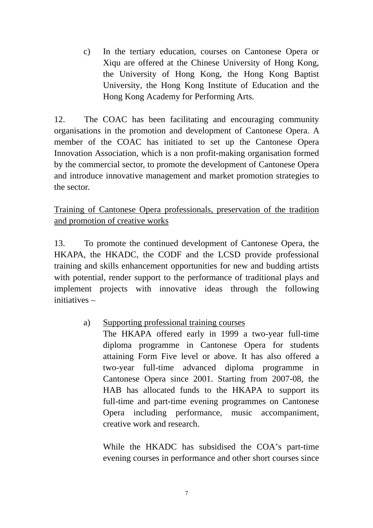c) In the tertiary education, courses on Cantonese Opera or Xiqu are offered at the Chinese University of Hong Kong, the University of Hong Kong, the Hong Kong Baptist University, the Hong Kong Institute of Education and the Hong Kong Academy for Performing Arts.

12. The COAC has been facilitating and encouraging community organisations in the promotion and development of Cantonese Opera. A member of the COAC has initiated to set up the Cantonese Opera Innovation Association, which is a non profit-making organisation formed by the commercial sector, to promote the development of Cantonese Opera and introduce innovative management and market promotion strategies to the sector.

Training of Cantonese Opera professionals, preservation of the tradition and promotion of creative works

13. To promote the continued development of Cantonese Opera, the HKAPA, the HKADC, the CODF and the LCSD provide professional training and skills enhancement opportunities for new and budding artists with potential, render support to the performance of traditional plays and implement projects with innovative ideas through the following initiatives –

### a) Supporting professional training courses

 The HKAPA offered early in 1999 a two-year full-time diploma programme in Cantonese Opera for students attaining Form Five level or above. It has also offered a two-year full-time advanced diploma programme in Cantonese Opera since 2001. Starting from 2007-08, the HAB has allocated funds to the HKAPA to support its full-time and part-time evening programmes on Cantonese Opera including performance, music accompaniment, creative work and research.

 While the HKADC has subsidised the COA's part-time evening courses in performance and other short courses since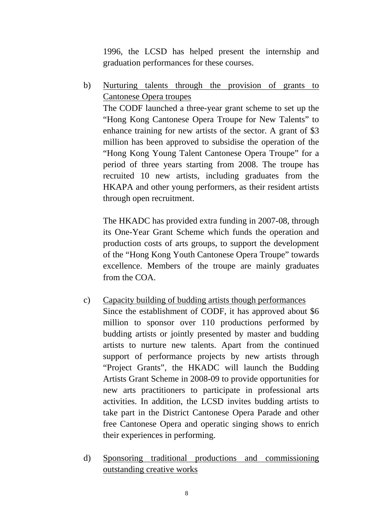1996, the LCSD has helped present the internship and graduation performances for these courses.

b) Nurturing talents through the provision of grants to Cantonese Opera troupes The CODF launched a three-year grant scheme to set up the "Hong Kong Cantonese Opera Troupe for New Talents" to enhance training for new artists of the sector. A grant of \$3 million has been approved to subsidise the operation of the "Hong Kong Young Talent Cantonese Opera Troupe" for a period of three years starting from 2008. The troupe has recruited 10 new artists, including graduates from the HKAPA and other young performers, as their resident artists through open recruitment.

 The HKADC has provided extra funding in 2007-08, through its One-Year Grant Scheme which funds the operation and production costs of arts groups, to support the development of the "Hong Kong Youth Cantonese Opera Troupe" towards excellence. Members of the troupe are mainly graduates from the COA.

- c) Capacity building of budding artists though performances Since the establishment of CODF, it has approved about \$6 million to sponsor over 110 productions performed by budding artists or jointly presented by master and budding artists to nurture new talents. Apart from the continued support of performance projects by new artists through "Project Grants", the HKADC will launch the Budding Artists Grant Scheme in 2008-09 to provide opportunities for new arts practitioners to participate in professional arts activities. In addition, the LCSD invites budding artists to take part in the District Cantonese Opera Parade and other free Cantonese Opera and operatic singing shows to enrich their experiences in performing.
- d) Sponsoring traditional productions and commissioning outstanding creative works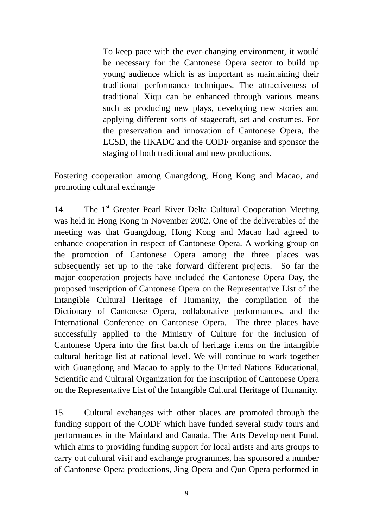To keep pace with the ever-changing environment, it would be necessary for the Cantonese Opera sector to build up young audience which is as important as maintaining their traditional performance techniques. The attractiveness of traditional Xiqu can be enhanced through various means such as producing new plays, developing new stories and applying different sorts of stagecraft, set and costumes. For the preservation and innovation of Cantonese Opera, the LCSD, the HKADC and the CODF organise and sponsor the staging of both traditional and new productions.

## Fostering cooperation among Guangdong, Hong Kong and Macao, and promoting cultural exchange

14. The 1<sup>st</sup> Greater Pearl River Delta Cultural Cooperation Meeting was held in Hong Kong in November 2002. One of the deliverables of the meeting was that Guangdong, Hong Kong and Macao had agreed to enhance cooperation in respect of Cantonese Opera. A working group on the promotion of Cantonese Opera among the three places was subsequently set up to the take forward different projects. So far the major cooperation projects have included the Cantonese Opera Day, the proposed inscription of Cantonese Opera on the Representative List of the Intangible Cultural Heritage of Humanity, the compilation of the Dictionary of Cantonese Opera, collaborative performances, and the International Conference on Cantonese Opera. The three places have successfully applied to the Ministry of Culture for the inclusion of Cantonese Opera into the first batch of heritage items on the intangible cultural heritage list at national level. We will continue to work together with Guangdong and Macao to apply to the United Nations Educational, Scientific and Cultural Organization for the inscription of Cantonese Opera on the Representative List of the Intangible Cultural Heritage of Humanity.

15. Cultural exchanges with other places are promoted through the funding support of the CODF which have funded several study tours and performances in the Mainland and Canada. The Arts Development Fund, which aims to providing funding support for local artists and arts groups to carry out cultural visit and exchange programmes, has sponsored a number of Cantonese Opera productions, Jing Opera and Qun Opera performed in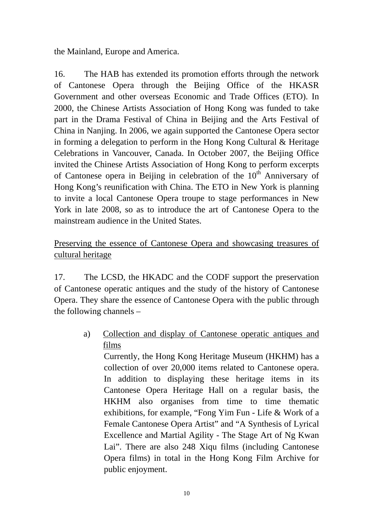the Mainland, Europe and America.

16. The HAB has extended its promotion efforts through the network of Cantonese Opera through the Beijing Office of the HKASR Government and other overseas Economic and Trade Offices (ETO). In 2000, the Chinese Artists Association of Hong Kong was funded to take part in the Drama Festival of China in Beijing and the Arts Festival of China in Nanjing. In 2006, we again supported the Cantonese Opera sector in forming a delegation to perform in the Hong Kong Cultural & Heritage Celebrations in Vancouver, Canada. In October 2007, the Beijing Office invited the Chinese Artists Association of Hong Kong to perform excerpts of Cantonese opera in Beijing in celebration of the  $10<sup>th</sup>$  Anniversary of Hong Kong's reunification with China. The ETO in New York is planning to invite a local Cantonese Opera troupe to stage performances in New York in late 2008, so as to introduce the art of Cantonese Opera to the mainstream audience in the United States.

## Preserving the essence of Cantonese Opera and showcasing treasures of cultural heritage

17. The LCSD, the HKADC and the CODF support the preservation of Cantonese operatic antiques and the study of the history of Cantonese Opera. They share the essence of Cantonese Opera with the public through the following channels –

> a) Collection and display of Cantonese operatic antiques and films

Currently, the Hong Kong Heritage Museum (HKHM) has a collection of over 20,000 items related to Cantonese opera. In addition to displaying these heritage items in its Cantonese Opera Heritage Hall on a regular basis, the HKHM also organises from time to time thematic exhibitions, for example, "Fong Yim Fun - Life & Work of a Female Cantonese Opera Artist" and "A Synthesis of Lyrical Excellence and Martial Agility - The Stage Art of Ng Kwan Lai". There are also 248 Xiqu films (including Cantonese Opera films) in total in the Hong Kong Film Archive for public enjoyment.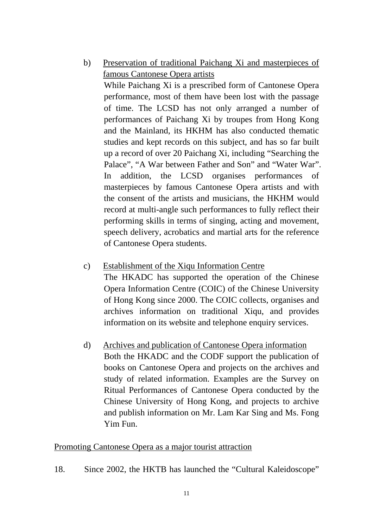- b) Preservation of traditional Paichang Xi and masterpieces of famous Cantonese Opera artists While Paichang Xi is a prescribed form of Cantonese Opera performance, most of them have been lost with the passage of time. The LCSD has not only arranged a number of performances of Paichang Xi by troupes from Hong Kong and the Mainland, its HKHM has also conducted thematic studies and kept records on this subject, and has so far built up a record of over 20 Paichang Xi, including "Searching the Palace", "A War between Father and Son" and "Water War". In addition, the LCSD organises performances of masterpieces by famous Cantonese Opera artists and with the consent of the artists and musicians, the HKHM would record at multi-angle such performances to fully reflect their performing skills in terms of singing, acting and movement, speech delivery, acrobatics and martial arts for the reference of Cantonese Opera students.
- c) Establishment of the Xiqu Information Centre The HKADC has supported the operation of the Chinese Opera Information Centre (COIC) of the Chinese University of Hong Kong since 2000. The COIC collects, organises and archives information on traditional Xiqu, and provides information on its website and telephone enquiry services.
- d) Archives and publication of Cantonese Opera information Both the HKADC and the CODF support the publication of books on Cantonese Opera and projects on the archives and study of related information. Examples are the Survey on Ritual Performances of Cantonese Opera conducted by the Chinese University of Hong Kong, and projects to archive and publish information on Mr. Lam Kar Sing and Ms. Fong Yim Fun.

#### Promoting Cantonese Opera as a major tourist attraction

18. Since 2002, the HKTB has launched the "Cultural Kaleidoscope"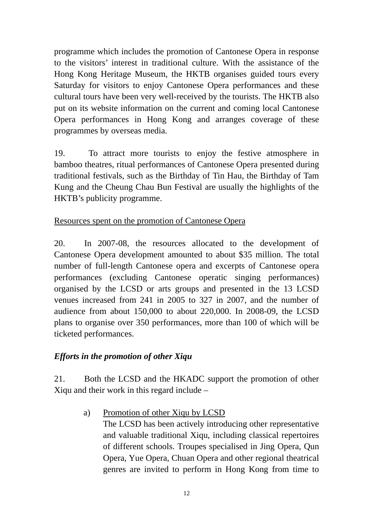programme which includes the promotion of Cantonese Opera in response to the visitors' interest in traditional culture. With the assistance of the Hong Kong Heritage Museum, the HKTB organises guided tours every Saturday for visitors to enjoy Cantonese Opera performances and these cultural tours have been very well-received by the tourists. The HKTB also put on its website information on the current and coming local Cantonese Opera performances in Hong Kong and arranges coverage of these programmes by overseas media.

19. To attract more tourists to enjoy the festive atmosphere in bamboo theatres, ritual performances of Cantonese Opera presented during traditional festivals, such as the Birthday of Tin Hau, the Birthday of Tam Kung and the Cheung Chau Bun Festival are usually the highlights of the HKTB's publicity programme.

### Resources spent on the promotion of Cantonese Opera

20. In 2007-08, the resources allocated to the development of Cantonese Opera development amounted to about \$35 million. The total number of full-length Cantonese opera and excerpts of Cantonese opera performances (excluding Cantonese operatic singing performances) organised by the LCSD or arts groups and presented in the 13 LCSD venues increased from 241 in 2005 to 327 in 2007, and the number of audience from about 150,000 to about 220,000. In 2008-09, the LCSD plans to organise over 350 performances, more than 100 of which will be ticketed performances.

### *Efforts in the promotion of other Xiqu*

21. Both the LCSD and the HKADC support the promotion of other Xiqu and their work in this regard include –

> a) Promotion of other Xiqu by LCSD The LCSD has been actively introducing other representative and valuable traditional Xiqu, including classical repertoires of different schools. Troupes specialised in Jing Opera, Qun Opera, Yue Opera, Chuan Opera and other regional theatrical genres are invited to perform in Hong Kong from time to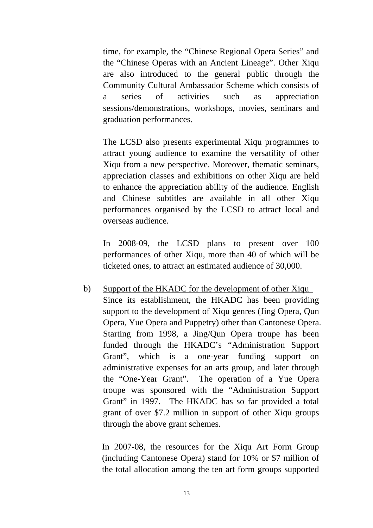time, for example, the "Chinese Regional Opera Series" and the "Chinese Operas with an Ancient Lineage". Other Xiqu are also introduced to the general public through the Community Cultural Ambassador Scheme which consists of a series of activities such as appreciation sessions/demonstrations, workshops, movies, seminars and graduation performances.

 The LCSD also presents experimental Xiqu programmes to attract young audience to examine the versatility of other Xiqu from a new perspective. Moreover, thematic seminars, appreciation classes and exhibitions on other Xiqu are held to enhance the appreciation ability of the audience. English and Chinese subtitles are available in all other Xiqu performances organised by the LCSD to attract local and overseas audience.

 In 2008-09, the LCSD plans to present over 100 performances of other Xiqu, more than 40 of which will be ticketed ones, to attract an estimated audience of 30,000.

b) Support of the HKADC for the development of other Xiqu Since its establishment, the HKADC has been providing support to the development of Xiqu genres (Jing Opera, Qun Opera, Yue Opera and Puppetry) other than Cantonese Opera. Starting from 1998, a Jing/Qun Opera troupe has been funded through the HKADC's "Administration Support Grant", which is a one-year funding support on administrative expenses for an arts group, and later through the "One-Year Grant". The operation of a Yue Opera troupe was sponsored with the "Administration Support Grant" in 1997. The HKADC has so far provided a total grant of over \$7.2 million in support of other Xiqu groups through the above grant schemes.

In 2007-08, the resources for the Xiqu Art Form Group (including Cantonese Opera) stand for 10% or \$7 million of the total allocation among the ten art form groups supported